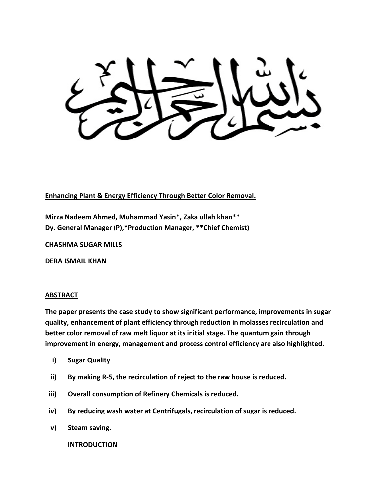**Enhancing Plant & Energy Efficiency Through Better Color Removal.**

**Mirza Nadeem Ahmed, Muhammad Yasin\*, Zaka ullah khan\*\* Dy. General Manager (P),\*Production Manager, \*\*Chief Chemist)**

**CHASHMA SUGAR MILLS** 

**DERA ISMAIL KHAN** 

## **ABSTRACT**

**The paper presents the case study to show significant performance, improvements in sugar quality, enhancement of plant efficiency through reduction in molasses recirculation and better color removal of raw melt liquor at its initial stage. The quantum gain through improvement in energy, management and process control efficiency are also highlighted.**

- **i) Sugar Quality**
- **ii) By making R-5, the recirculation of reject to the raw house is reduced.**
- **iii) Overall consumption of Refinery Chemicals is reduced.**
- **iv) By reducing wash water at Centrifugals, recirculation of sugar is reduced.**
- **v) Steam saving.**

## **INTRODUCTION**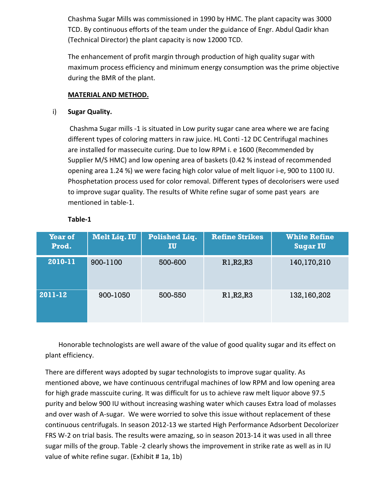Chashma Sugar Mills was commissioned in 1990 by HMC. The plant capacity was 3000 TCD. By continuous efforts of the team under the guidance of Engr. Abdul Qadir khan (Technical Director) the plant capacity is now 12000 TCD.

The enhancement of profit margin through production of high quality sugar with maximum process efficiency and minimum energy consumption was the prime objective during the BMR of the plant.

## **MATERIAL AND METHOD.**

## i) **Sugar Quality.**

Chashma Sugar mills -1 is situated in Low purity sugar cane area where we are facing different types of coloring matters in raw juice. HL Conti -12 DC Centrifugal machines are installed for massecuite curing. Due to low RPM i. e 1600 (Recommended by Supplier M/S HMC) and low opening area of baskets (0.42 % instead of recommended opening area 1.24 %) we were facing high color value of melt liquor i-e, 900 to 1100 IU. Phosphetation process used for color removal. Different types of decolorisers were used to improve sugar quality. The results of White refine sugar of some past years are mentioned in table-1.

| <b>Year of</b><br>Prod. | Melt Liq. IU | <b>Polished Liq.</b><br>IU | <b>Refine Strikes</b> | <b>White Refine</b><br><b>Sugar IU</b> |
|-------------------------|--------------|----------------------------|-----------------------|----------------------------------------|
| 2010-11                 | 900-1100     | 500-600                    | R1, R2, R3            | 140,170,210                            |
| 2011-12                 | 900-1050     | 500-550                    | R1, R2, R3            | 132,160,202                            |

## **Table-1**

Honorable technologists are well aware of the value of good quality sugar and its effect on plant efficiency.

There are different ways adopted by sugar technologists to improve sugar quality. As mentioned above, we have continuous centrifugal machines of low RPM and low opening area for high grade masscuite curing. It was difficult for us to achieve raw melt liquor above 97.5 purity and below 900 IU without increasing washing water which causes Extra load of molasses and over wash of A-sugar. We were worried to solve this issue without replacement of these continuous centrifugals. In season 2012-13 we started High Performance Adsorbent Decolorizer FRS W-2 on trial basis. The results were amazing, so in season 2013-14 it was used in all three sugar mills of the group. Table -2 clearly shows the improvement in strike rate as well as in IU value of white refine sugar. (Exhibit # 1a, 1b)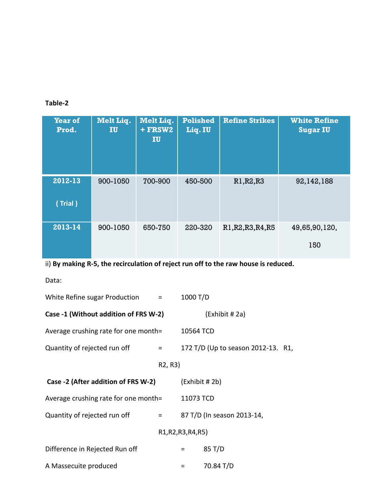# **Table-2**

| <b>Year of</b><br>Prod. | Melt Liq.<br>IU | <b>Melt Liq.</b><br>+ FRSW2<br>IU | <b>Polished</b><br>Liq. IU | <b>Refine Strikes</b> | <b>White Refine</b><br><b>Sugar IU</b> |
|-------------------------|-----------------|-----------------------------------|----------------------------|-----------------------|----------------------------------------|
| 2012-13<br>(Trial)      | 900-1050        | 700-900                           | 450-500                    | R1, R2, R3            | 92,142,188                             |
| 2013-14                 | 900-1050        | 650-750                           | 220-320                    | R1, R2, R3, R4, R5    | 49,65,90,120,<br>150                   |

ii) **By making R-5, the recirculation of reject run off to the raw house is reduced.**

Data:

| White Refine sugar Production $=$     |                                   | 1000 T/D            |                                    |  |
|---------------------------------------|-----------------------------------|---------------------|------------------------------------|--|
| Case -1 (Without addition of FRS W-2) |                                   |                     | (Exhibit #2a)                      |  |
| Average crushing rate for one month=  |                                   | 10564 TCD           |                                    |  |
| Quantity of rejected run off          | $=$ $-$                           |                     | 172 T/D (Up to season 2012-13. R1, |  |
|                                       | R <sub>2</sub> , R <sub>3</sub> ) |                     |                                    |  |
| Case -2 (After addition of FRS W-2)   |                                   | (Exhibit # 2b)      |                                    |  |
| Average crushing rate for one month=  |                                   | 11073 TCD           |                                    |  |
| Quantity of rejected run off          | $=$ $\sim$                        |                     | 87 T/D (In season 2013-14,         |  |
|                                       |                                   | R1, R2, R3, R4, R5) |                                    |  |
| Difference in Rejected Run off        |                                   | $=$                 | 85 T/D                             |  |
| A Massecuite produced                 |                                   | $=$                 | 70.84 T/D                          |  |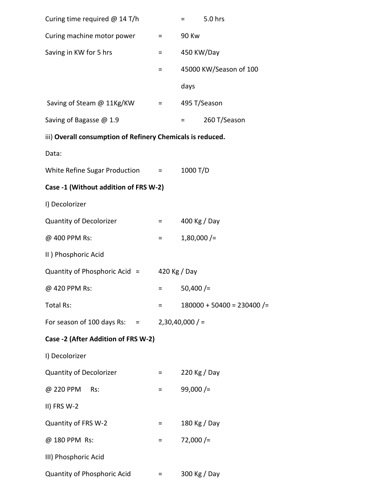| Curing time required $@$ 14 T/h                            |                                                       | 5.0 hrs<br>$\equiv$ 1000 $\pm$   |
|------------------------------------------------------------|-------------------------------------------------------|----------------------------------|
| Curing machine motor power                                 | $=$                                                   | <b>90 Kw</b>                     |
| Saving in KW for 5 hrs                                     | $=$ $-$                                               | 450 KW/Day                       |
|                                                            | =                                                     | 45000 KW/Season of 100           |
|                                                            |                                                       | days                             |
| Saving of Steam @ 11Kg/KW                                  | $\mathcal{L}_{\text{max}} = \mathcal{L}_{\text{max}}$ | 495 T/Season                     |
| Saving of Bagasse @ 1.9                                    |                                                       | 260 T/Season<br><b>E</b> and the |
| iii) Overall consumption of Refinery Chemicals is reduced. |                                                       |                                  |
| Data:                                                      |                                                       |                                  |
| White Refine Sugar Production =                            |                                                       | 1000 T/D                         |
| Case -1 (Without addition of FRS W-2)                      |                                                       |                                  |
| I) Decolorizer                                             |                                                       |                                  |
| <b>Quantity of Decolorizer</b>                             | $=$ 100 $\pm$                                         | 400 Kg / Day                     |
| @ 400 PPM Rs:                                              | $\equiv 1.000$                                        | $1,80,000$ /=                    |
| II) Phosphoric Acid                                        |                                                       |                                  |
| Quantity of Phosphoric Acid $=$                            |                                                       | 420 Kg / Day                     |
| @ 420 PPM Rs:                                              | Ξ                                                     | $50,400$ /=                      |
| Total Rs:                                                  | $=$                                                   | $180000 + 50400 = 230400$ /=     |
| For season of 100 days Rs: $=$                             |                                                       | $2,30,40,000$ / =                |
| Case -2 (After Addition of FRS W-2)                        |                                                       |                                  |
| I) Decolorizer                                             |                                                       |                                  |
| <b>Quantity of Decolorizer</b>                             | $=$ $\sim$                                            | 220 Kg / Day                     |
| @ 220 PPM<br>Rs:                                           | =                                                     | $99,000$ /=                      |
| II) FRS W-2                                                |                                                       |                                  |
| Quantity of FRS W-2                                        | =                                                     | 180 Kg / Day                     |
| @ 180 PPM Rs:                                              | $=$                                                   | $72,000$ /=                      |
| III) Phosphoric Acid                                       |                                                       |                                  |
| Quantity of Phosphoric Acid                                | $=$                                                   | 300 Kg / Day                     |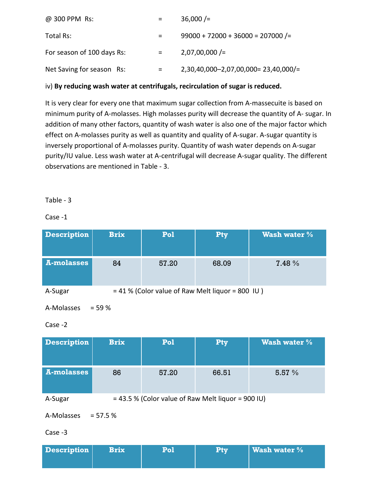| @ 300 PPM Rs:              |                   | $36,000$ /=                           |
|----------------------------|-------------------|---------------------------------------|
| Total Rs:                  |                   | $99000 + 72000 + 36000 = 207000$ /=   |
| For season of 100 days Rs: | $\equiv$ $\equiv$ | $2,07,00,000$ /=                      |
| Net Saving for season Rs:  | =                 | $2,30,40,000-2,07,00,000=23,40,000/=$ |

# iv) **By reducing wash water at centrifugals, recirculation of sugar is reduced.**

It is very clear for every one that maximum sugar collection from A-massecuite is based on minimum purity of A-molasses. High molasses purity will decrease the quantity of A- sugar. In addition of many other factors, quantity of wash water is also one of the major factor which effect on A-molasses purity as well as quantity and quality of A-sugar. A-sugar quantity is inversely proportional of A-molasses purity. Quantity of wash water depends on A-sugar purity/IU value. Less wash water at A-centrifugal will decrease A-sugar quality. The different observations are mentioned in Table - 3.

## Table - 3

## Case -1

| <b>Description</b> | <b>Brix</b> | Pol                                                | Pty   | <b>Wash water %</b> |  |  |  |
|--------------------|-------------|----------------------------------------------------|-------|---------------------|--|--|--|
| A-molasses         | 84          | 57.20                                              | 68.09 | 7.48 %              |  |  |  |
| A-Sugar            |             | $= 41$ % (Color value of Raw Melt liquor = 800 IU) |       |                     |  |  |  |

 $A-Molasses = 59\%$ 

```
Case -2
```

| <b>Description</b> | <b>Brix</b> | Pol                                                  | Pty   | <b>Wash water %</b> |  |  |
|--------------------|-------------|------------------------------------------------------|-------|---------------------|--|--|
| A-molasses         | 86          | 57.20                                                | 66.51 | 5.57%               |  |  |
| A-Sugar            |             | $= 43.5$ % (Color value of Raw Melt liquor = 900 IU) |       |                     |  |  |

 $A-Molasses = 57.5 %$ 

Case -3

| <b>Description</b> | <b>Brix</b> | Ptv | $ $ Wash water $\%$ |
|--------------------|-------------|-----|---------------------|
|                    |             |     |                     |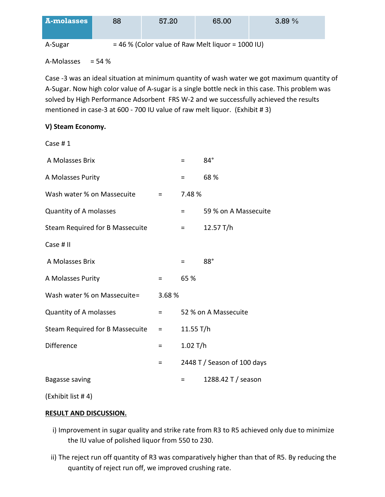| <b>A-molasses</b> | 88 | 57.20 | 65.00                                               | 3.89% |
|-------------------|----|-------|-----------------------------------------------------|-------|
| A-Sugar           |    |       | $=$ 46 % (Color value of Raw Melt liquor = 1000 IU) |       |

A-Molasses  $= 54 \%$ 

Case -3 was an ideal situation at minimum quantity of wash water we got maximum quantity of A-Sugar. Now high color value of A-sugar is a single bottle neck in this case. This problem was solved by High Performance Adsorbent FRS W-2 and we successfully achieved the results mentioned in case-3 at 600 - 700 IU value of raw melt liquor. (Exhibit # 3)

# **V) Steam Economy.**

| Case #1                         |          |             |                             |
|---------------------------------|----------|-------------|-----------------------------|
| A Molasses Brix                 |          | $=$         | 84°                         |
| A Molasses Purity               |          | $=$         | 68 %                        |
| Wash water % on Massecuite      | Ξ.       | 7.48 %      |                             |
| Quantity of A molasses          |          | Ξ.          | 59 % on A Massecuite        |
| Steam Required for B Massecuite |          | $=$         | 12.57 T/h                   |
| Case # II                       |          |             |                             |
| A Molasses Brix                 |          | $=$         | $88^\circ$                  |
| A Molasses Purity               | $\equiv$ | 65 %        |                             |
| Wash water % on Massecuite=     | 3.68%    |             |                             |
| Quantity of A molasses          | Ξ        |             | 52 % on A Massecuite        |
| Steam Required for B Massecuite | $=$      | 11.55 $T/h$ |                             |
| Difference                      | $=$      | $1.02$ T/h  |                             |
|                                 | $=$      |             | 2448 T / Season of 100 days |
| Bagasse saving                  |          | =           | 1288.42 T / season          |
|                                 |          |             |                             |

(Exhibit list # 4)

## **RESULT AND DISCUSSION.**

- i) Improvement in sugar quality and strike rate from R3 to R5 achieved only due to minimize the IU value of polished liquor from 550 to 230.
- ii) The reject run off quantity of R3 was comparatively higher than that of R5. By reducing the quantity of reject run off, we improved crushing rate.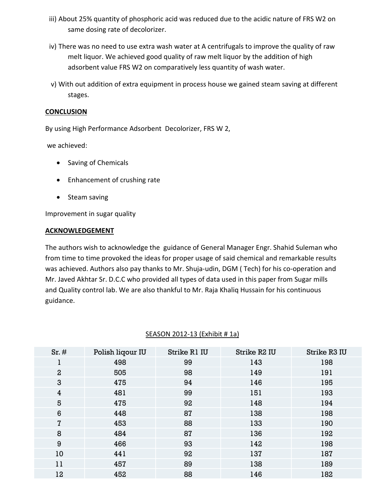- iii) About 25% quantity of phosphoric acid was reduced due to the acidic nature of FRS W2 on same dosing rate of decolorizer.
- iv) There was no need to use extra wash water at A centrifugals to improve the quality of raw melt liquor. We achieved good quality of raw melt liquor by the addition of high adsorbent value FRS W2 on comparatively less quantity of wash water.
- v) With out addition of extra equipment in process house we gained steam saving at different stages.

#### **CONCLUSION**

By using High Performance Adsorbent Decolorizer, FRS W 2,

we achieved:

- Saving of Chemicals
- Enhancement of crushing rate
- Steam saving

Improvement in sugar quality

#### **ACKNOWLEDGEMENT**

The authors wish to acknowledge the guidance of General Manager Engr. Shahid Suleman who from time to time provoked the ideas for proper usage of said chemical and remarkable results was achieved. Authors also pay thanks to Mr. Shuja-udin, DGM ( Tech) for his co-operation and Mr. Javed Akhtar Sr. D.C.C who provided all types of data used in this paper from Sugar mills and Quality control lab. We are also thankful to Mr. Raja Khaliq Hussain for his continuous guidance.

| Sr.#           | Polish liqour IU | Strike R1 IU | Strike R <sub>2</sub> IU | <b>Strike R3 IU</b> |
|----------------|------------------|--------------|--------------------------|---------------------|
|                | 498              | 99           | 143                      | 198                 |
| $\overline{a}$ | 505              | 98           | 149                      | 191                 |
| 3              | 475              | 94           | 146                      | 195                 |
| $\overline{4}$ | 481              | 99           | 151                      | 193                 |
| 5              | 475              | 92           | 148                      | 194                 |
| 6              | 448              | 87           | 138                      | 198                 |
| 7              | 453              | 88           | 133                      | 190                 |
| 8              | 484              | 87           | 136                      | 192                 |
| 9              | 466              | 93           | 142                      | 198                 |
| 10             | 441              | 92           | 137                      | 187                 |
| 11             | 457              | 89           | 138                      | 189                 |
| 12             | 452              | 88           | 146                      | 182                 |
|                |                  |              |                          |                     |

# SEASON 2012-13 (Exhibit # 1a)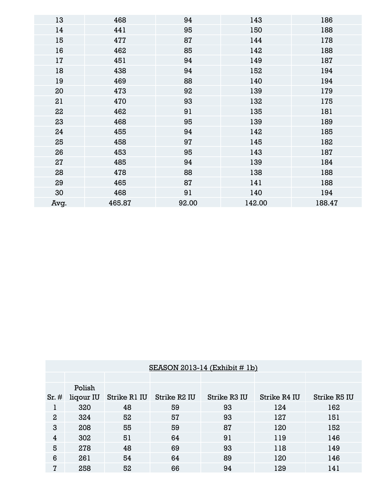| 13   | 468    | 94    | 143    | 186    |
|------|--------|-------|--------|--------|
| 14   | 441    | 95    | 150    | 188    |
| 15   | 477    | 87    | 144    | 178    |
| 16   | 462    | 85    | 142    | 188    |
| 17   | 451    | 94    | 149    | 187    |
| 18   | 438    | 94    | 152    | 194    |
| 19   | 469    | 88    | 140    | 194    |
| 20   | 473    | 92    | 139    | 179    |
| 21   | 470    | 93    | 132    | 175    |
| 22   | 462    | 91    | 135    | 181    |
| 23   | 468    | 95    | 139    | 189    |
| 24   | 455    | 94    | 142    | 185    |
| 25   | 458    | 97    | 145    | 182    |
| 26   | 453    | 95    | 143    | 187    |
| 27   | 485    | 94    | 139    | 184    |
| 28   | 478    | 88    | 138    | 188    |
| 29   | 465    | 87    | 141    | 188    |
| 30   | 468    | 91    | 140    | 194    |
| Avg. | 465.87 | 92.00 | 142.00 | 188.47 |

|                | SEASON 2013-14 $(Exhibit # 1b)$ |              |              |              |              |                     |  |  |  |  |  |  |
|----------------|---------------------------------|--------------|--------------|--------------|--------------|---------------------|--|--|--|--|--|--|
|                |                                 |              |              |              |              |                     |  |  |  |  |  |  |
|                | Polish                          |              |              |              |              |                     |  |  |  |  |  |  |
| Sr.#           | liqour IU                       | Strike R1 IU | Strike R2 IU | Strike R3 IU | Strike R4 IU | <b>Strike R5 IU</b> |  |  |  |  |  |  |
|                | 320                             | 48           | 59           | 93           | 124          | 162                 |  |  |  |  |  |  |
| $\overline{2}$ | 324                             | 52           | 57           | 93           | 127          | 151                 |  |  |  |  |  |  |
| 3              | 208                             | 55           | 59           | 87           | 120          | 152                 |  |  |  |  |  |  |
| 4              | 302                             | 51           | 64           | 91           | 119          | 146                 |  |  |  |  |  |  |
| 5              | 278                             | 48           | 69           | 93           | 118          | 149                 |  |  |  |  |  |  |
| 6              | 261                             | 54           | 64           | 89           | 120          | 146                 |  |  |  |  |  |  |
| 7              | 258                             | 52           | 66           | 94           | 129          | 141                 |  |  |  |  |  |  |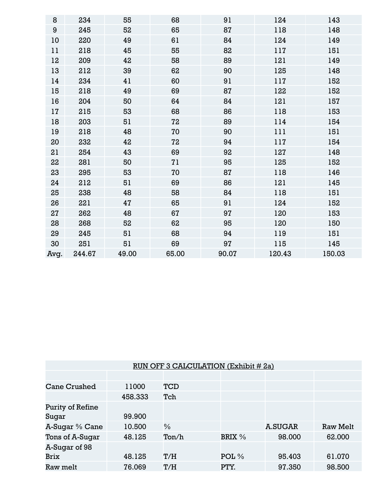| 8                | 234    | 55    | 68    | 91    | 124    | 143    |
|------------------|--------|-------|-------|-------|--------|--------|
| $\boldsymbol{9}$ | 245    | 52    | 65    | 87    | 118    | 148    |
| 10               | 220    | 49    | 61    | 84    | 124    | 149    |
| 11               | 218    | 45    | 55    | 82    | 117    | 151    |
| 12               | 209    | 42    | 58    | 89    | 121    | 149    |
| 13               | 212    | 39    | 62    | 90    | 125    | 148    |
| 14               | 234    | 41    | 60    | 91    | 117    | 152    |
| 15               | 218    | 49    | 69    | 87    | 122    | 152    |
| 16               | 204    | 50    | 64    | 84    | 121    | 157    |
| 17               | 215    | 53    | 68    | 86    | 118    | 153    |
| 18               | 203    | 51    | 72    | 89    | 114    | 154    |
| 19               | 218    | 48    | 70    | 90    | 111    | 151    |
| 20               | 232    | 42    | 72    | 94    | 117    | 154    |
| 21               | 254    | 43    | 69    | 92    | 127    | 148    |
| 22               | 281    | 50    | 71    | 95    | 125    | 152    |
| 23               | 295    | 53    | 70    | 87    | 118    | 146    |
| 24               | 212    | 51    | 69    | 86    | 121    | 145    |
| 25               | 238    | 48    | 58    | 84    | 118    | 151    |
| 26               | 221    | 47    | 65    | 91    | 124    | 152    |
| 27               | 262    | 48    | 67    | 97    | 120    | 153    |
| 28               | 268    | 52    | 62    | 95    | 120    | 150    |
| 29               | 245    | 51    | 68    | 94    | 119    | 151    |
| 30               | 251    | 51    | 69    | 97    | 115    | 145    |
| Avq.             | 244.67 | 49.00 | 65.00 | 90.07 | 120.43 | 150.03 |

| RUN OFF 3 CALCULATION (Exhibit # 2a) |         |               |                  |                |                 |  |  |  |  |
|--------------------------------------|---------|---------------|------------------|----------------|-----------------|--|--|--|--|
|                                      |         |               |                  |                |                 |  |  |  |  |
| <b>Cane Crushed</b>                  | 11000   | TCD           |                  |                |                 |  |  |  |  |
|                                      | 458.333 | Tch           |                  |                |                 |  |  |  |  |
| Purity of Refine                     |         |               |                  |                |                 |  |  |  |  |
| Sugar                                | 99.900  |               |                  |                |                 |  |  |  |  |
| A-Sugar % Cane                       | 10.500  | $\frac{0}{6}$ |                  | <b>A.SUGAR</b> | <b>Raw Melt</b> |  |  |  |  |
| Tons of A-Sugar                      | 48.125  | Ton/h         | BRIX %           | 98.000         | 62.000          |  |  |  |  |
| A-Sugar of 98                        |         |               |                  |                |                 |  |  |  |  |
| <b>Brix</b>                          | 48.125  | T/H           | POL <sub>%</sub> | 95.403         | 61.070          |  |  |  |  |
| Raw melt                             | 76.069  | T/H           | PTY.             | 97.350         | 98.500          |  |  |  |  |
|                                      |         |               |                  |                |                 |  |  |  |  |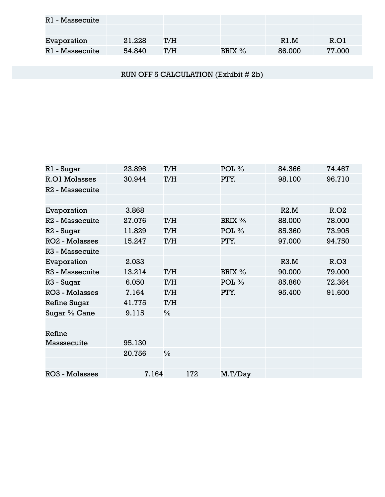| R1 - Massecuite |        |     |        |        |        |
|-----------------|--------|-----|--------|--------|--------|
|                 |        |     |        |        |        |
| Evaporation     | 21.228 | T/H |        | R1 M   | R.OI   |
| R1 - Massecuite | 54.840 | T/H | BRIX % | 86.000 | 77.000 |

RUN OFF 5 CALCULATION (Exhibit # 2b)

| R1 - Sugar                  | 23.896 | T/H  | $POL\%$          | 84.366 | 74.467 |
|-----------------------------|--------|------|------------------|--------|--------|
| <b>R.O1 Molasses</b>        | 30.944 | T/H  | PTY.             | 98.100 | 96.710 |
| R <sub>2</sub> - Massecuite |        |      |                  |        |        |
|                             |        |      |                  |        |        |
| Evaporation                 | 3.868  |      |                  | R2.M   | R.02   |
| R <sub>2</sub> - Massecuite | 27.076 | T/H  | BRIX %           | 88.000 | 78.000 |
| R2 - Sugar                  | 11.829 | T/H  | POL <sub>%</sub> | 85.360 | 73.905 |
| <b>RO2 - Molasses</b>       | 15.247 | T/H  | PTY.             | 97.000 | 94.750 |
| R <sub>3</sub> - Massecuite |        |      |                  |        |        |
| Evaporation                 | 2.033  |      |                  | R3.M   | R.03   |
| R <sub>3</sub> - Massecuite | 13.214 | T/H  | BRIX %           | 90.000 | 79.000 |
| R3 - Sugar                  | 6.050  | T/H  | POL $%$          | 85.860 | 72.364 |
| <b>RO3 - Molasses</b>       | 7.164  | T/H  | PTY.             | 95.400 | 91.600 |
| <b>Refine Sugar</b>         | 41.775 | T/H  |                  |        |        |
| Sugar % Cane                | 9.115  | $\%$ |                  |        |        |
|                             |        |      |                  |        |        |
| Refine                      |        |      |                  |        |        |
| Masssecuite                 | 95.130 |      |                  |        |        |
|                             | 20.756 | $\%$ |                  |        |        |
|                             |        |      |                  |        |        |
| <b>RO3 - Molasses</b>       | 7.164  | 172  | M.T/Day          |        |        |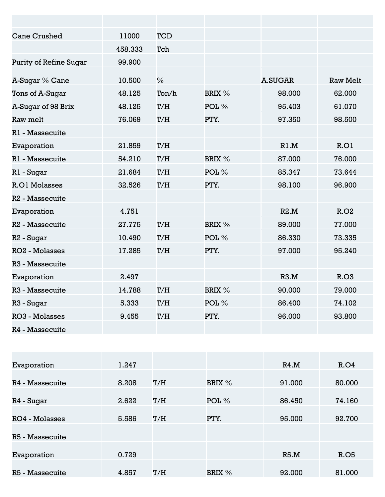| <b>Cane Crushed</b>         | 11000   | <b>TCD</b>    |                  |                |                 |
|-----------------------------|---------|---------------|------------------|----------------|-----------------|
|                             | 458.333 | Tch           |                  |                |                 |
| Purity of Refine Sugar      | 99.900  |               |                  |                |                 |
| A-Sugar % Cane              | 10.500  | $\frac{0}{0}$ |                  | <b>A.SUGAR</b> | <b>Raw Melt</b> |
| Tons of A-Sugar             | 48.125  | Ton/h         | BRIX %           | 98,000         | 62.000          |
| A-Sugar of 98 Brix          | 48.125  | T/H           | POL <sub>%</sub> | 95.403         | 61.070          |
| Raw melt                    | 76.069  | T/H           | PTY.             | 97.350         | 98.500          |
| R1 - Massecuite             |         |               |                  |                |                 |
| Evaporation                 | 21.859  | T/H           |                  | R1.M           | R.O1            |
| R1 - Massecuite             | 54.210  | T/H           | BRIX %           | 87.000         | 76.000          |
| R1 - Sugar                  | 21.684  | T/H           | POL %            | 85.347         | 73.644          |
| <b>R.O1 Molasses</b>        | 32.526  | T/H           | PTY.             | 98.100         | 96.900          |
| R <sub>2</sub> - Massecuite |         |               |                  |                |                 |
| Evaporation                 | 4.751   |               |                  | R2.M           | R.02            |
| R <sub>2</sub> - Massecuite | 27.775  | T/H           | BRIX %           | 89.000         | 77.000          |
| R <sub>2</sub> - Sugar      | 10.490  | T/H           | POL %            | 86,330         | 73.335          |
| <b>RO2 - Molasses</b>       | 17.285  | T/H           | PTY.             | 97.000         | 95.240          |
| R <sub>3</sub> - Massecuite |         |               |                  |                |                 |
| Evaporation                 | 2.497   |               |                  | R3.M           | R.03            |
| R <sub>3</sub> - Massecuite | 14.788  | T/H           | BRIX %           | 90.000         | 79.000          |
| R3 - Sugar                  | 5.333   | T/H           | $POL\%$          | 86.400         | 74.102          |
| <b>RO3 - Molasses</b>       | 9.455   | T/H           | PTY.             | 96,000         | 93.800          |
| R4 - Massecuite             |         |               |                  |                |                 |

| Evaporation     | 1.247 |     |         | R4.M   | R.O4        |
|-----------------|-------|-----|---------|--------|-------------|
|                 |       |     |         |        |             |
| R4 - Massecuite | 8.208 | T/H | BRIX %  | 91.000 | 80.000      |
|                 |       |     |         |        |             |
| R4 - Sugar      | 2.622 | T/H | POL $%$ | 86.450 | 74.160      |
|                 |       |     |         |        |             |
| RO4 - Molasses  | 5.586 | T/H | PTY.    | 95.000 | 92.700      |
|                 |       |     |         |        |             |
| R5 - Massecuite |       |     |         |        |             |
|                 |       |     |         |        |             |
| Evaporation     | 0.729 |     |         | R5.M   | <b>R.O5</b> |
|                 |       |     |         |        |             |
| R5 - Massecuite | 4.857 | T/H | BRIX %  | 92.000 | 81.000      |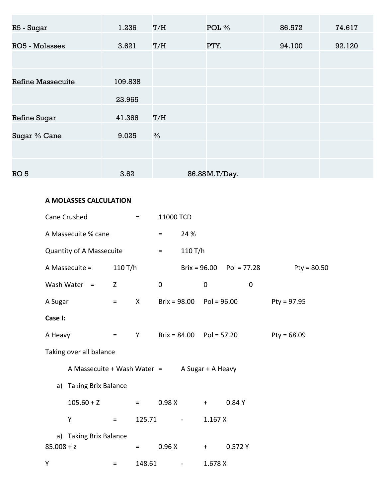| R5 - Sugar               | 1.236   | T/H           | POL %         | 86.572 | 74.617 |
|--------------------------|---------|---------------|---------------|--------|--------|
| <b>RO5 - Molasses</b>    | 3.621   | T/H           | PTY.          | 94.100 | 92.120 |
|                          |         |               |               |        |        |
| <b>Refine Massecuite</b> | 109.838 |               |               |        |        |
|                          | 23.965  |               |               |        |        |
| <b>Refine Sugar</b>      | 41.366  | T/H           |               |        |        |
| Sugar % Cane             | 9.025   | $\frac{0}{0}$ |               |        |        |
|                          |         |               |               |        |        |
| RO <sub>5</sub>          | 3.62    |               | 86.88M.T/Day. |        |        |

# **A MOLASSES CALCULATION**

|              | Cane Crushed                    |            | $\equiv$ | 11000 TCD   |                              |                   |                              |               |
|--------------|---------------------------------|------------|----------|-------------|------------------------------|-------------------|------------------------------|---------------|
|              | A Massecuite % cane             |            |          | $=$         | 24 %                         |                   |                              |               |
|              | <b>Quantity of A Massecuite</b> |            |          | $\equiv$    | 110 T/h                      |                   |                              |               |
|              | A Massecuite =                  | 110 T/h    |          |             |                              |                   | Brix = $96.00$ Pol = $77.28$ | $Pty = 80.50$ |
|              | Wash Water $=$                  | Z          |          | $\mathbf 0$ |                              | $\mathbf 0$       | $\mathbf 0$                  |               |
| A Sugar      |                                 | $\equiv$   | X        |             | Brix = $98.00$ Pol = $96.00$ |                   |                              | $Pty = 97.95$ |
| Case I:      |                                 |            |          |             |                              |                   |                              |               |
| A Heavy      |                                 | $\equiv$ . | Y.       |             | $Brix = 84.00$ $Pol = 57.20$ |                   |                              | Pty = $68.09$ |
|              | Taking over all balance         |            |          |             |                              |                   |                              |               |
|              | A Massecuite + Wash Water =     |            |          |             |                              | A Sugar + A Heavy |                              |               |
| a)           | <b>Taking Brix Balance</b>      |            |          |             |                              |                   |                              |               |
|              | $105.60 + Z$                    |            | $=$ $-$  | 0.98X       |                              | $+$ $-$           | 0.84 Y                       |               |
|              | Y                               | $\equiv$ . | 125.71   |             | <b>Service Control</b>       | 1.167X            |                              |               |
|              | a) Taking Brix Balance          |            |          |             |                              |                   |                              |               |
| $85.008 + z$ |                                 |            | $=$      | 0.96X       |                              | $+$ $-$           | 0.572 Y                      |               |
| Y            |                                 | $=$        | 148.61   |             | $\sim$                       | 1.678 X           |                              |               |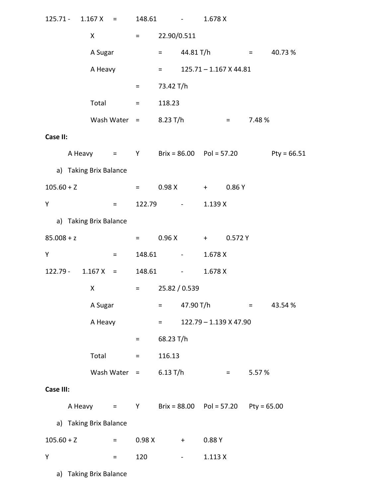|                  |                        | $125.71 - 1.167 X =$ | 148.61                   |                    | $\mathcal{L}(\mathcal{L})$ and $\mathcal{L}(\mathcal{L})$ . The $\mathcal{L}(\mathcal{L})$ | 1.678 X                  |                          |                   |               |
|------------------|------------------------|----------------------|--------------------------|--------------------|--------------------------------------------------------------------------------------------|--------------------------|--------------------------|-------------------|---------------|
|                  | X                      |                      | $\equiv$ 1000 $^{\circ}$ | 22.90/0.511        |                                                                                            |                          |                          |                   |               |
|                  | A Sugar                |                      |                          | $=$ 100 $\pm$      | 44.81 T/h                                                                                  |                          |                          |                   | $= 40.73 \%$  |
|                  | A Heavy                |                      |                          | $\equiv$ 100 $\pm$ |                                                                                            | $125.71 - 1.167$ X 44.81 |                          |                   |               |
|                  |                        |                      | $=$ $\sim$               | 73.42 T/h          |                                                                                            |                          |                          |                   |               |
|                  | Total                  |                      | and <b>E</b> show        | 118.23             |                                                                                            |                          |                          |                   |               |
|                  |                        |                      | Wash Water $=$           | 8.23 T/h           |                                                                                            |                          | $\alpha_{\rm c} = 0.000$ | 7.48 %            |               |
| Case II:         |                        |                      |                          |                    |                                                                                            |                          |                          |                   |               |
|                  |                        |                      |                          |                    | A Heavy $=$ Y Brix = 86.00 Pol = 57.20                                                     |                          |                          |                   | $Pty = 66.51$ |
|                  | a) Taking Brix Balance |                      |                          |                    |                                                                                            |                          |                          |                   |               |
| $105.60 + Z$     |                        |                      | $=$ $\sim$               | 0.98X              |                                                                                            | $+$ $+$ $-$              | 0.86Y                    |                   |               |
| Y                |                        | $\equiv$ 1000 $\pm$  |                          |                    | 122.79 -                                                                                   | 1.139X                   |                          |                   |               |
|                  | a) Taking Brix Balance |                      |                          |                    |                                                                                            |                          |                          |                   |               |
| $85.008 + z$     |                        |                      | market and               |                    | $0.96 X + 0.572 Y$                                                                         |                          |                          |                   |               |
| Υ                |                        | Ξ.                   | 148.61                   |                    | $\mathcal{L}^{\mathcal{L}}(\mathcal{L}^{\mathcal{L}}(\mathcal{L}^{\mathcal{L}}))$          | 1.678 X                  |                          |                   |               |
|                  |                        | $122.79 - 1.167 X =$ |                          |                    | 148.61 -                                                                                   | 1.678 X                  |                          |                   |               |
|                  | X                      |                      | $\equiv 1.000$           |                    | 25.82 / 0.539                                                                              |                          |                          |                   |               |
|                  | A Sugar                |                      |                          | $=$ $\sim$         | 47.90 T/h                                                                                  |                          |                          | <b>Experience</b> | 43.54 %       |
|                  | A Heavy                |                      |                          | $=$ $\sim$         |                                                                                            | 122.79 - 1.139 X 47.90   |                          |                   |               |
|                  |                        |                      | Ξ.                       | 68.23 T/h          |                                                                                            |                          |                          |                   |               |
|                  | Total                  |                      | $=$                      | 116.13             |                                                                                            |                          |                          |                   |               |
|                  |                        | Wash Water $=$       |                          | 6.13 T/h           |                                                                                            |                          | $\equiv 1.000$           | 5.57 %            |               |
| <b>Case III:</b> |                        |                      |                          |                    |                                                                                            |                          |                          |                   |               |
|                  |                        |                      |                          |                    | A Heavy $=$ Y Brix = 88.00 Pol = 57.20 Pty = 65.00                                         |                          |                          |                   |               |
|                  | a) Taking Brix Balance |                      |                          |                    |                                                                                            |                          |                          |                   |               |
| $105.60 + Z$     |                        | $=$                  | 0.98X                    |                    | $+$                                                                                        | 0.88Y                    |                          |                   |               |
| Y                |                        | $=$                  | 120                      |                    | $\bullet$ - $\bullet$ - $\bullet$ - $\bullet$ - $\bullet$                                  | 1.113X                   |                          |                   |               |
|                  | a) Taking Brix Balance |                      |                          |                    |                                                                                            |                          |                          |                   |               |